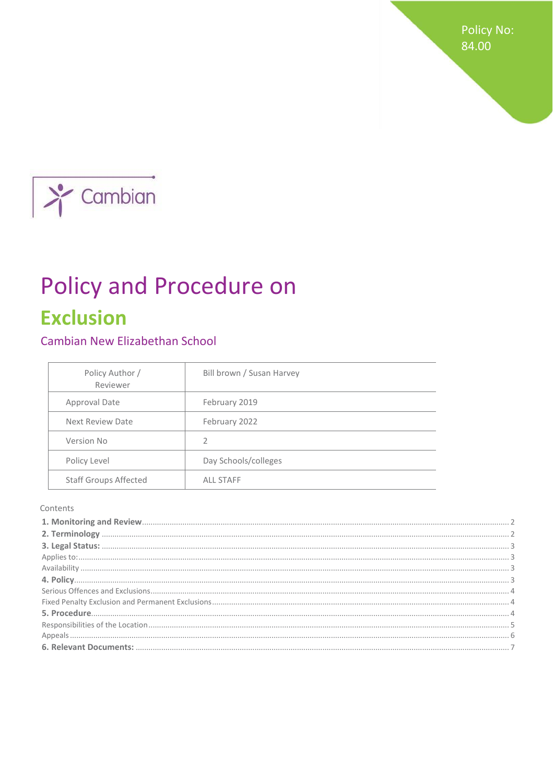**Policy No:** 84.00



# Policy and Procedure on **Exclusion**

# Cambian New Elizabethan School

| Policy Author /<br>Reviewer  | Bill brown / Susan Harvey |
|------------------------------|---------------------------|
| Approval Date                | February 2019             |
| <b>Next Review Date</b>      | February 2022             |
| Version No                   | $\overline{2}$            |
| Policy Level                 | Day Schools/colleges      |
| <b>Staff Groups Affected</b> | <b>ALL STAFF</b>          |

#### Contents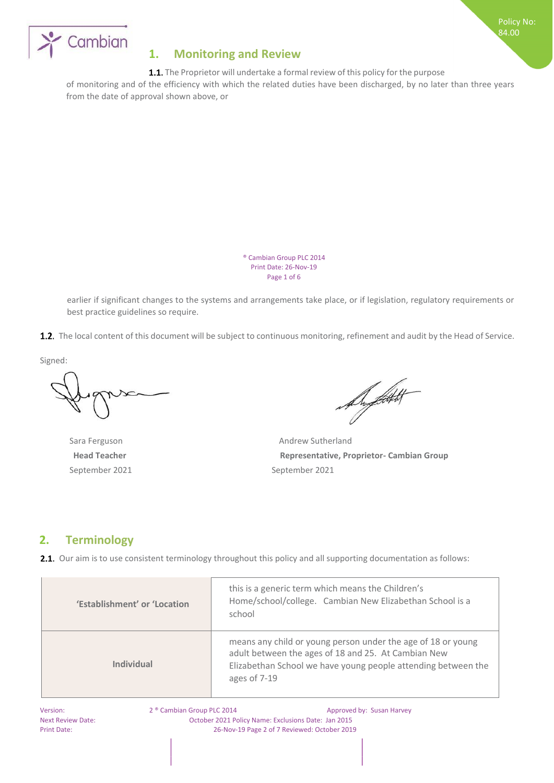



# <span id="page-1-0"></span>**1. Monitoring and Review**

1.1. The Proprietor will undertake a formal review of this policy for the purpose

of monitoring and of the efficiency with which the related duties have been discharged, by no later than three years from the date of approval shown above, or

> ® Cambian Group PLC 2014 Print Date: 26-Nov-19 Page 1 of 6

earlier if significant changes to the systems and arrangements take place, or if legislation, regulatory requirements or best practice guidelines so require.

1.2. The local content of this document will be subject to continuous monitoring, refinement and audit by the Head of Service.

Signed:

September 2021 September 2021

De filtet

Sara Ferguson **Andrew Sutherland Head Teacher Representative, Proprietor- Cambian Group**

# <span id="page-1-1"></span>**2. Terminology**

**2.1.** Our aim is to use consistent terminology throughout this policy and all supporting documentation as follows:

| 'Establishment' or 'Location | this is a generic term which means the Children's<br>Home/school/college. Cambian New Elizabethan School is a<br>school                                                                              |
|------------------------------|------------------------------------------------------------------------------------------------------------------------------------------------------------------------------------------------------|
| Individual                   | means any child or young person under the age of 18 or young<br>adult between the ages of 18 and 25. At Cambian New<br>Elizabethan School we have young people attending between the<br>ages of 7-19 |

Version: 2 ® Cambian Group PLC 2014 Approved by: Susan Harvey Next Review Date: October 2021 Policy Name: Exclusions Date: Jan 2015 Print Date: 26-Nov-19 Page 2 of 7 Reviewed: October 2019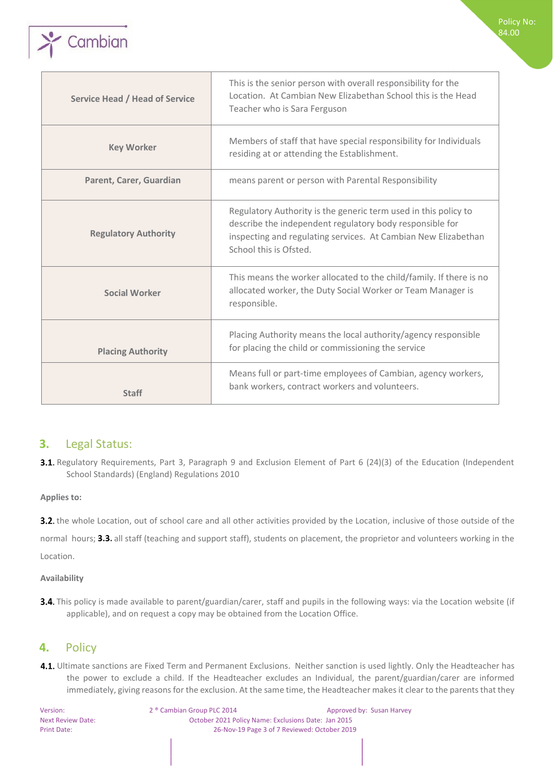

| <b>Service Head / Head of Service</b> | This is the senior person with overall responsibility for the<br>Location. At Cambian New Elizabethan School this is the Head<br>Teacher who is Sara Ferguson                                                           |
|---------------------------------------|-------------------------------------------------------------------------------------------------------------------------------------------------------------------------------------------------------------------------|
| <b>Key Worker</b>                     | Members of staff that have special responsibility for Individuals<br>residing at or attending the Establishment.                                                                                                        |
| Parent, Carer, Guardian               | means parent or person with Parental Responsibility                                                                                                                                                                     |
| <b>Regulatory Authority</b>           | Regulatory Authority is the generic term used in this policy to<br>describe the independent regulatory body responsible for<br>inspecting and regulating services. At Cambian New Elizabethan<br>School this is Ofsted. |
| <b>Social Worker</b>                  | This means the worker allocated to the child/family. If there is no<br>allocated worker, the Duty Social Worker or Team Manager is<br>responsible.                                                                      |
| <b>Placing Authority</b>              | Placing Authority means the local authority/agency responsible<br>for placing the child or commissioning the service                                                                                                    |
| <b>Staff</b>                          | Means full or part-time employees of Cambian, agency workers,<br>bank workers, contract workers and volunteers.                                                                                                         |

Policy No: 84.00

## <span id="page-2-0"></span>**3.** Legal Status:

3.1. Regulatory Requirements, Part 3, Paragraph 9 and Exclusion Element of Part 6 (24)(3) of the Education (Independent School Standards) (England) Regulations 2010

## <span id="page-2-1"></span>**Applies to:**

3.2. the whole Location, out of school care and all other activities provided by the Location, inclusive of those outside of the

normal hours; 3.3. all staff (teaching and support staff), students on placement, the proprietor and volunteers working in the Location.

## <span id="page-2-2"></span>**Availability**

3.4. This policy is made available to parent/guardian/carer, staff and pupils in the following ways: via the Location website (if applicable), and on request a copy may be obtained from the Location Office.

# <span id="page-2-3"></span>**4.** Policy

4.1. Ultimate sanctions are Fixed Term and Permanent Exclusions. Neither sanction is used lightly. Only the Headteacher has the power to exclude a child. If the Headteacher excludes an Individual, the parent/guardian/carer are informed immediately, giving reasons for the exclusion. At the same time, the Headteacher makes it clear to the parents that they

Version: 2 ® Cambian Group PLC 2014 Approved by: Susan Harvey Next Review Date: October 2021 Policy Name: Exclusions Date: Jan 2015 Print Date: 26-Nov-19 Page 3 of 7 Reviewed: October 2019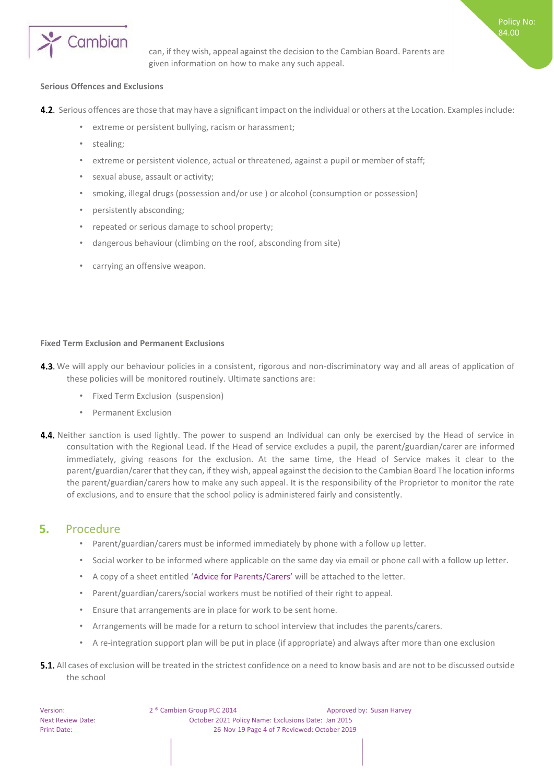

can, if they wish, appeal against the decision to the Cambian Board. Parents are given information on how to make any such appeal.

Policy No: 84.00

#### <span id="page-3-0"></span>**Serious Offences and Exclusions**

- **4.2.** Serious offences are those that may have a significant impact on the individual or others at the Location. Examples include:
	- extreme or persistent bullying, racism or harassment;
	- stealing;
	- extreme or persistent violence, actual or threatened, against a pupil or member of staff;
	- sexual abuse, assault or activity;
	- smoking, illegal drugs (possession and/or use ) or alcohol (consumption or possession)
	- persistently absconding;
	- repeated or serious damage to school property;
	- dangerous behaviour (climbing on the roof, absconding from site)
	- carrying an offensive weapon.

#### <span id="page-3-1"></span>**Fixed Term Exclusion and Permanent Exclusions**

- 4.3. We will apply our behaviour policies in a consistent, rigorous and non-discriminatory way and all areas of application of these policies will be monitored routinely. Ultimate sanctions are:
	- Fixed Term Exclusion (suspension)
	- Permanent Exclusion
- 4.4. Neither sanction is used lightly. The power to suspend an Individual can only be exercised by the Head of service in consultation with the Regional Lead. If the Head of service excludes a pupil, the parent/guardian/carer are informed immediately, giving reasons for the exclusion. At the same time, the Head of Service makes it clear to the parent/guardian/carer that they can, if they wish, appeal against the decision to the Cambian Board The location informs the parent/guardian/carers how to make any such appeal. It is the responsibility of the Proprietor to monitor the rate of exclusions, and to ensure that the school policy is administered fairly and consistently.

## <span id="page-3-2"></span>**5.** Procedure

- Parent/guardian/carers must be informed immediately by phone with a follow up letter.
- Social worker to be informed where applicable on the same day via email or phone call with a follow up letter.
- A copy of a sheet entitled 'Advice for Parents/Carers' will be attached to the letter.
- Parent/guardian/carers/social workers must be notified of their right to appeal.
- Ensure that arrangements are in place for work to be sent home.
- Arrangements will be made for a return to school interview that includes the parents/carers.
- A re-integration support plan will be put in place (if appropriate) and always after more than one exclusion
- **5.1.** All cases of exclusion will be treated in the strictest confidence on a need to know basis and are not to be discussed outside the school

Version: 2 ® Cambian Group PLC 2014 Approved by: Susan Harvey Next Review Date: October 2021 Policy Name: Exclusions Date: Jan 2015 Print Date: 26-Nov-19 Page 4 of 7 Reviewed: October 2019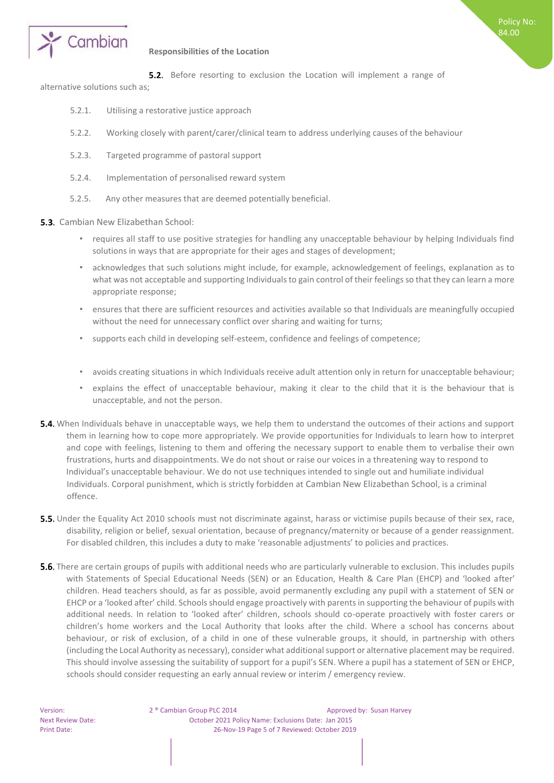



#### <span id="page-4-0"></span>**Responsibilities of the Location**

**5.2.** Before resorting to exclusion the Location will implement a range of

alternative solutions such as;

- 5.2.1. Utilising a restorative justice approach
- 5.2.2. Working closely with parent/carer/clinical team to address underlying causes of the behaviour
- 5.2.3. Targeted programme of pastoral support
- 5.2.4. Implementation of personalised reward system
- 5.2.5. Any other measures that are deemed potentially beneficial.
- **5.3.** Cambian New Elizabethan School:
	- requires all staff to use positive strategies for handling any unacceptable behaviour by helping Individuals find solutions in ways that are appropriate for their ages and stages of development;
	- acknowledges that such solutions might include, for example, acknowledgement of feelings, explanation as to what was not acceptable and supporting Individuals to gain control of their feelings so that they can learn a more appropriate response;
	- ensures that there are sufficient resources and activities available so that Individuals are meaningfully occupied without the need for unnecessary conflict over sharing and waiting for turns;
	- supports each child in developing self-esteem, confidence and feelings of competence;
	- avoids creating situations in which Individuals receive adult attention only in return for unacceptable behaviour;
	- explains the effect of unacceptable behaviour, making it clear to the child that it is the behaviour that is unacceptable, and not the person.
- 5.4. When Individuals behave in unacceptable ways, we help them to understand the outcomes of their actions and support them in learning how to cope more appropriately. We provide opportunities for Individuals to learn how to interpret and cope with feelings, listening to them and offering the necessary support to enable them to verbalise their own frustrations, hurts and disappointments. We do not shout or raise our voices in a threatening way to respond to Individual's unacceptable behaviour. We do not use techniques intended to single out and humiliate individual Individuals. Corporal punishment, which is strictly forbidden at Cambian New Elizabethan School, is a criminal offence.
- **5.5.** Under the Equality Act 2010 schools must not discriminate against, harass or victimise pupils because of their sex, race, disability, religion or belief, sexual orientation, because of pregnancy/maternity or because of a gender reassignment. For disabled children, this includes a duty to make 'reasonable adjustments' to policies and practices.
- **5.6.** There are certain groups of pupils with additional needs who are particularly vulnerable to exclusion. This includes pupils with Statements of Special Educational Needs (SEN) or an Education, Health & Care Plan (EHCP) and 'looked after' children. Head teachers should, as far as possible, avoid permanently excluding any pupil with a statement of SEN or EHCP or a 'looked after' child. Schools should engage proactively with parents in supporting the behaviour of pupils with additional needs. In relation to 'looked after' children, schools should co-operate proactively with foster carers or children's home workers and the Local Authority that looks after the child. Where a school has concerns about behaviour, or risk of exclusion, of a child in one of these vulnerable groups, it should, in partnership with others (including the Local Authority as necessary), consider what additional support or alternative placement may be required. This should involve assessing the suitability of support for a pupil's SEN. Where a pupil has a statement of SEN or EHCP, schools should consider requesting an early annual review or interim / emergency review.

Version: 2 ® Cambian Group PLC 2014 Approved by: Susan Harvey Next Review Date: October 2021 Policy Name: Exclusions Date: Jan 2015 Print Date: 26-Nov-19 Page 5 of 7 Reviewed: October 2019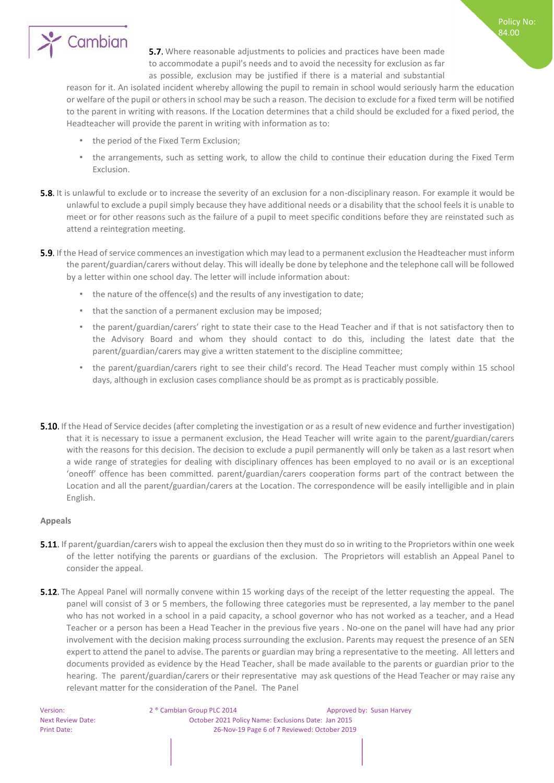

5.7. Where reasonable adjustments to policies and practices have been made to accommodate a pupil's needs and to avoid the necessity for exclusion as far as possible, exclusion may be justified if there is a material and substantial

reason for it. An isolated incident whereby allowing the pupil to remain in school would seriously harm the education or welfare of the pupil or others in school may be such a reason. The decision to exclude for a fixed term will be notified to the parent in writing with reasons. If the Location determines that a child should be excluded for a fixed period, the Headteacher will provide the parent in writing with information as to:

- the period of the Fixed Term Exclusion;
- the arrangements, such as setting work, to allow the child to continue their education during the Fixed Term Exclusion.
- **5.8.** It is unlawful to exclude or to increase the severity of an exclusion for a non-disciplinary reason. For example it would be unlawful to exclude a pupil simply because they have additional needs or a disability that the school feels it is unable to meet or for other reasons such as the failure of a pupil to meet specific conditions before they are reinstated such as attend a reintegration meeting.
- **5.9.** If the Head of service commences an investigation which may lead to a permanent exclusion the Headteacher must inform the parent/guardian/carers without delay. This will ideally be done by telephone and the telephone call will be followed by a letter within one school day. The letter will include information about:
	- the nature of the offence(s) and the results of any investigation to date;
	- that the sanction of a permanent exclusion may be imposed;
	- the parent/guardian/carers' right to state their case to the Head Teacher and if that is not satisfactory then to the Advisory Board and whom they should contact to do this, including the latest date that the parent/guardian/carers may give a written statement to the discipline committee;
	- the parent/guardian/carers right to see their child's record. The Head Teacher must comply within 15 school days, although in exclusion cases compliance should be as prompt as is practicably possible.
- **5.10.** If the Head of Service decides (after completing the investigation or as a result of new evidence and further investigation) that it is necessary to issue a permanent exclusion, the Head Teacher will write again to the parent/guardian/carers with the reasons for this decision. The decision to exclude a pupil permanently will only be taken as a last resort when a wide range of strategies for dealing with disciplinary offences has been employed to no avail or is an exceptional 'oneoff' offence has been committed. parent/guardian/carers cooperation forms part of the contract between the Location and all the parent/guardian/carers at the Location. The correspondence will be easily intelligible and in plain English.

#### <span id="page-5-0"></span>**Appeals**

- **5.11.** If parent/guardian/carers wish to appeal the exclusion then they must do so in writing to the Proprietors within one week of the letter notifying the parents or guardians of the exclusion. The Proprietors will establish an Appeal Panel to consider the appeal.
- **5.12.** The Appeal Panel will normally convene within 15 working days of the receipt of the letter requesting the appeal. The panel will consist of 3 or 5 members, the following three categories must be represented, a lay member to the panel who has not worked in a school in a paid capacity, a school governor who has not worked as a teacher, and a Head Teacher or a person has been a Head Teacher in the previous five years . No-one on the panel will have had any prior involvement with the decision making process surrounding the exclusion. Parents may request the presence of an SEN expert to attend the panel to advise. The parents or guardian may bring a representative to the meeting. All letters and documents provided as evidence by the Head Teacher, shall be made available to the parents or guardian prior to the hearing. The parent/guardian/carers or their representative may ask questions of the Head Teacher or may raise any relevant matter for the consideration of the Panel. The Panel

Version: 2 ® Cambian Group PLC 2014 Approved by: Susan Harvey Next Review Date: October 2021 Policy Name: Exclusions Date: Jan 2015 Print Date: 26-Nov-19 Page 6 of 7 Reviewed: October 2019